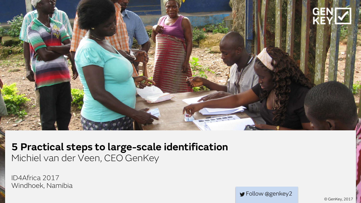

#### **5 Practical steps to large-scale identification** Michiel van der Veen, CEO GenKey

ID4Africa 2017 Windhoek, Namibia

Follow @genkey2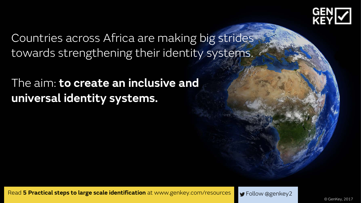

Countries across Africa are making big strides towards strengthening their identity systems.

# The aim: **to create an inclusive and universal identity systems.**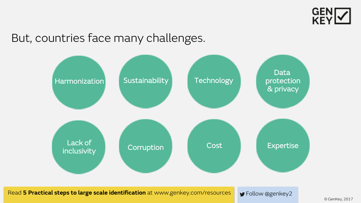

## But, countries face many challenges.



Read 5 Practical steps to large scale identification at www.genkey.com/resources Follow @genkey2

© GenKey, 2017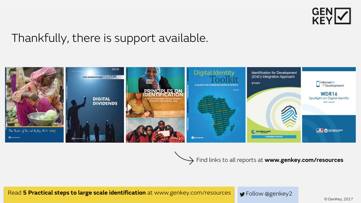

# Thankfully, there is support available.



Find links to all reports at **www.genkey.com/resources**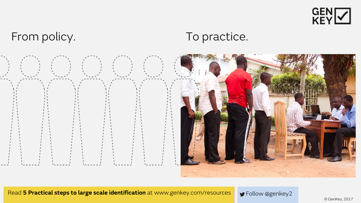

# From policy. To practice.

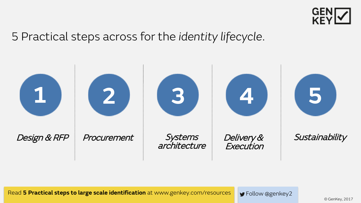

### 5 Practical steps across for the *identity lifecycle*.

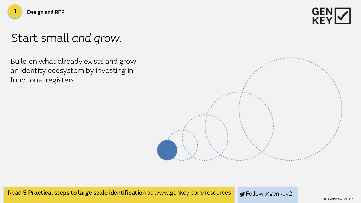

# Start small *and grow.*

**1 Design and RFP**

Build on what already exists and grow an identity ecosystem by investing in functional registers.

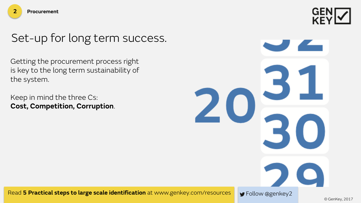# Set-up for long term success.

Getting the procurement process right is key to the long term sustainability of the system.

Keep in mind the three Cs: **Cost, Competition, Corruption**.

31  $20\frac{1}{30}$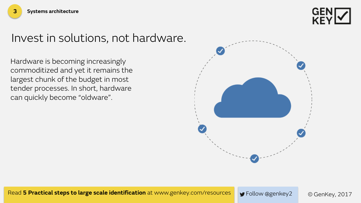

#### Invest in solutions, not hardware.

Hardware is becoming increasingly commoditized and yet it remains the largest chunk of the budget in most tender processes. In short, hardware can quickly become "oldware".

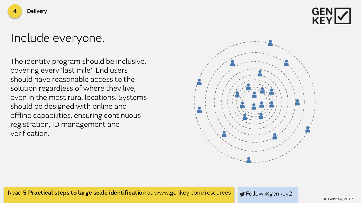

#### Include everyone.

The identity program should be inclusive, covering every 'last mile'. End users should have reasonable access to the solution regardless of where they live, even in the most rural locations. Systems should be designed with online and offline capabilities, ensuring continuous registration, ID management and verification.

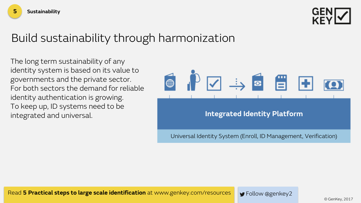

# Build sustainability through harmonization

The long term sustainability of any identity system is based on its value to governments and the private sector. For both sectors the demand for reliable identity authentication is growing. To keep up, ID systems need to be

**5 Sustainability**

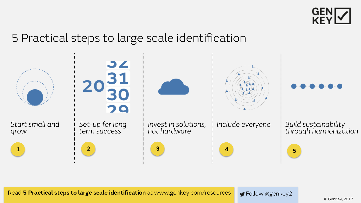

### 5 Practical steps to large scale identification